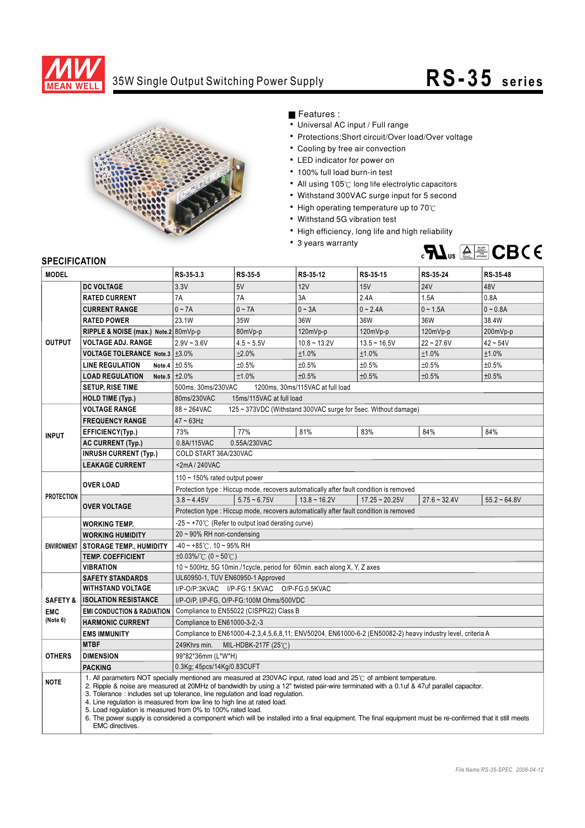

## 35W Single Output Switching Power Supply **RS-35 s e ri e s**



Features :

- Universal AC input / Full range
- Protections: Short circuit/Over load/Over voltage
- Cooling by free air convection
- LED indicator for power on
- 100% full load burn-in test
- All using 105°C long life electrolytic capacitors
- Withstand 300VAC surge input for 5 second
- High operating temperature up to  $70^{\circ}$ C
- Withstand 5G vibration test
- High efficiency, long life and high reliability
- 3 years warranty



## **SPECIFICATION**

| <b>MODEL</b>           |                                                                                                                                                                                                                                                                                                                                                                                                                                                                                                                                                                                                                                                                                    | RS-35-3.3                                                                                                  | RS-35-5        | RS-35-12                                                                              | RS-35-15         | RS-35-24       | RS-35-48       |
|------------------------|------------------------------------------------------------------------------------------------------------------------------------------------------------------------------------------------------------------------------------------------------------------------------------------------------------------------------------------------------------------------------------------------------------------------------------------------------------------------------------------------------------------------------------------------------------------------------------------------------------------------------------------------------------------------------------|------------------------------------------------------------------------------------------------------------|----------------|---------------------------------------------------------------------------------------|------------------|----------------|----------------|
| <b>OUTPUT</b>          | <b>DC VOLTAGE</b>                                                                                                                                                                                                                                                                                                                                                                                                                                                                                                                                                                                                                                                                  | 3.3V                                                                                                       | 5V             | 12V                                                                                   | 15V              | <b>24V</b>     | 48V            |
|                        | <b>RATED CURRENT</b>                                                                                                                                                                                                                                                                                                                                                                                                                                                                                                                                                                                                                                                               | 7A                                                                                                         | 7A             | 3A                                                                                    | 2.4A             | 1.5A           | 0.8A           |
|                        | <b>CURRENT RANGE</b>                                                                                                                                                                                                                                                                                                                                                                                                                                                                                                                                                                                                                                                               | $0 - 7A$                                                                                                   | $0 - 7A$       | $0 - 3A$                                                                              | $0 - 2.4A$       | $0 - 1.5A$     | $0 - 0.8A$     |
|                        | <b>RATED POWER</b>                                                                                                                                                                                                                                                                                                                                                                                                                                                                                                                                                                                                                                                                 | 23.1W                                                                                                      | 35W            | 36W                                                                                   | 36W              | 36W            | 38.4W          |
|                        | RIPPLE & NOISE (max.) Note.2 80mVp-p                                                                                                                                                                                                                                                                                                                                                                                                                                                                                                                                                                                                                                               |                                                                                                            | 80mVp-p        | 120mVp-p                                                                              | 120mVp-p         | 120mVp-p       | 200mVp-p       |
|                        | <b>VOLTAGE ADJ. RANGE</b>                                                                                                                                                                                                                                                                                                                                                                                                                                                                                                                                                                                                                                                          | $2.9V - 3.6V$                                                                                              | $4.5 - 5.5V$   | $10.8 - 13.2V$                                                                        | $13.5 - 16.5V$   | $22 - 27.6V$   | $42 \sim 54$ V |
|                        | VOLTAGE TOLERANCE Note.3   ±3.0%                                                                                                                                                                                                                                                                                                                                                                                                                                                                                                                                                                                                                                                   |                                                                                                            | ±2.0%          | ±1.0%                                                                                 | ±1.0%            | ±1.0%          | ±1.0%          |
|                        | <b>LINE REGULATION</b>                                                                                                                                                                                                                                                                                                                                                                                                                                                                                                                                                                                                                                                             | Note.4 $\pm 0.5\%$                                                                                         | ±0.5%          | ±0.5%                                                                                 | ±0.5%            | ±0.5%          | ±0.5%          |
|                        | <b>LOAD REGULATION</b>                                                                                                                                                                                                                                                                                                                                                                                                                                                                                                                                                                                                                                                             | Note.5 $\pm 2.0\%$                                                                                         | ±1.0%          | ±0.5%                                                                                 | ±0.5%            | ±0.5%          | ±0.5%          |
|                        | <b>SETUP, RISE TIME</b>                                                                                                                                                                                                                                                                                                                                                                                                                                                                                                                                                                                                                                                            | 500ms, 30ms/230VAC<br>1200ms, 30ms/115VAC at full load                                                     |                |                                                                                       |                  |                |                |
|                        | <b>HOLD TIME (Typ.)</b>                                                                                                                                                                                                                                                                                                                                                                                                                                                                                                                                                                                                                                                            | 15ms/115VAC at full load<br>80ms/230VAC                                                                    |                |                                                                                       |                  |                |                |
| <b>INPUT</b>           | <b>VOLTAGE RANGE</b>                                                                                                                                                                                                                                                                                                                                                                                                                                                                                                                                                                                                                                                               | 88~264VAC<br>125 ~ 373VDC (Withstand 300VAC surge for 5sec. Without damage)                                |                |                                                                                       |                  |                |                |
|                        | <b>FREQUENCY RANGE</b>                                                                                                                                                                                                                                                                                                                                                                                                                                                                                                                                                                                                                                                             | $47 \sim 63$ Hz                                                                                            |                |                                                                                       |                  |                |                |
|                        | EFFICIENCY(Typ.)                                                                                                                                                                                                                                                                                                                                                                                                                                                                                                                                                                                                                                                                   | 73%                                                                                                        | 77%            | 81%                                                                                   | 83%              | 84%            | 84%            |
|                        | <b>AC CURRENT (Typ.)</b>                                                                                                                                                                                                                                                                                                                                                                                                                                                                                                                                                                                                                                                           | 0.8A/115VAC<br>0.55A/230VAC                                                                                |                |                                                                                       |                  |                |                |
|                        | <b>INRUSH CURRENT (Typ.)</b>                                                                                                                                                                                                                                                                                                                                                                                                                                                                                                                                                                                                                                                       | COLD START 36A/230VAC                                                                                      |                |                                                                                       |                  |                |                |
|                        | <b>LEAKAGE CURRENT</b>                                                                                                                                                                                                                                                                                                                                                                                                                                                                                                                                                                                                                                                             | <2mA/240VAC                                                                                                |                |                                                                                       |                  |                |                |
| <b>PROTECTION</b>      | <b>OVER LOAD</b>                                                                                                                                                                                                                                                                                                                                                                                                                                                                                                                                                                                                                                                                   | 110 $\sim$ 150% rated output power                                                                         |                |                                                                                       |                  |                |                |
|                        |                                                                                                                                                                                                                                                                                                                                                                                                                                                                                                                                                                                                                                                                                    | Protection type : Hiccup mode, recovers automatically after fault condition is removed                     |                |                                                                                       |                  |                |                |
|                        | <b>OVER VOLTAGE</b>                                                                                                                                                                                                                                                                                                                                                                                                                                                                                                                                                                                                                                                                | $3.8 - 4.45V$                                                                                              | $5.75 - 6.75V$ | $13.8 \sim 16.2V$                                                                     | $17.25 - 20.25V$ | $27.6 - 32.4V$ | $55.2 - 64.8V$ |
|                        |                                                                                                                                                                                                                                                                                                                                                                                                                                                                                                                                                                                                                                                                                    |                                                                                                            |                | Protection type: Hiccup mode, recovers automatically after fault condition is removed |                  |                |                |
|                        | <b>WORKING TEMP.</b>                                                                                                                                                                                                                                                                                                                                                                                                                                                                                                                                                                                                                                                               | $-25 \sim +70^{\circ}$ (Refer to output load derating curve)                                               |                |                                                                                       |                  |                |                |
|                        | <b>WORKING HUMIDITY</b>                                                                                                                                                                                                                                                                                                                                                                                                                                                                                                                                                                                                                                                            | 20~90% RH non-condensing                                                                                   |                |                                                                                       |                  |                |                |
|                        | ENVIRONMENT STORAGE TEMP., HUMIDITY                                                                                                                                                                                                                                                                                                                                                                                                                                                                                                                                                                                                                                                | $-40 \sim +85^{\circ}$ C, 10 ~ 95% RH                                                                      |                |                                                                                       |                  |                |                |
|                        | TEMP. COEFFICIENT                                                                                                                                                                                                                                                                                                                                                                                                                                                                                                                                                                                                                                                                  | $\pm 0.03\%$ /°C (0 ~ 50°C)                                                                                |                |                                                                                       |                  |                |                |
|                        | <b>VIBRATION</b>                                                                                                                                                                                                                                                                                                                                                                                                                                                                                                                                                                                                                                                                   | 10 ~ 500Hz, 5G 10min./1cycle, period for 60min. each along X, Y, Z axes                                    |                |                                                                                       |                  |                |                |
|                        | <b>SAFETY STANDARDS</b>                                                                                                                                                                                                                                                                                                                                                                                                                                                                                                                                                                                                                                                            | UL60950-1, TUV EN60950-1 Approved                                                                          |                |                                                                                       |                  |                |                |
|                        | <b>WITHSTAND VOLTAGE</b>                                                                                                                                                                                                                                                                                                                                                                                                                                                                                                                                                                                                                                                           | I/P-O/P:3KVAC I/P-FG:1.5KVAC O/P-FG:0.5KVAC                                                                |                |                                                                                       |                  |                |                |
| <b>SAFETY &amp;</b>    | <b>ISOLATION RESISTANCE</b>                                                                                                                                                                                                                                                                                                                                                                                                                                                                                                                                                                                                                                                        | I/P-O/P, I/P-FG, O/P-FG:100M Ohms/500VDC                                                                   |                |                                                                                       |                  |                |                |
| <b>EMC</b><br>(Note 6) | <b>EMI CONDUCTION &amp; RADIATION</b>                                                                                                                                                                                                                                                                                                                                                                                                                                                                                                                                                                                                                                              | Compliance to EN55022 (CISPR22) Class B                                                                    |                |                                                                                       |                  |                |                |
|                        | <b>HARMONIC CURRENT</b>                                                                                                                                                                                                                                                                                                                                                                                                                                                                                                                                                                                                                                                            | Compliance to EN61000-3-2,-3                                                                               |                |                                                                                       |                  |                |                |
|                        | <b>EMS IMMUNITY</b>                                                                                                                                                                                                                                                                                                                                                                                                                                                                                                                                                                                                                                                                | Compliance to EN61000-4-2,3,4,5,6,8,11; ENV50204, EN61000-6-2 (EN50082-2) heavy industry level, criteria A |                |                                                                                       |                  |                |                |
| <b>OTHERS</b>          | <b>MTBF</b>                                                                                                                                                                                                                                                                                                                                                                                                                                                                                                                                                                                                                                                                        | 249Khrs min. MIL-HDBK-217F (25°C)                                                                          |                |                                                                                       |                  |                |                |
|                        | <b>DIMENSION</b>                                                                                                                                                                                                                                                                                                                                                                                                                                                                                                                                                                                                                                                                   | 99*82*36mm (L*W*H)                                                                                         |                |                                                                                       |                  |                |                |
|                        | <b>PACKING</b>                                                                                                                                                                                                                                                                                                                                                                                                                                                                                                                                                                                                                                                                     | 0.3Kg; 45pcs/14Kg/0.83CUFT                                                                                 |                |                                                                                       |                  |                |                |
| <b>NOTE</b>            | 1. All parameters NOT specially mentioned are measured at 230VAC input, rated load and 25°C of ambient temperature.<br>2. Ripple & noise are measured at 20MHz of bandwidth by using a 12" twisted pair-wire terminated with a 0.1uf & 47uf parallel capacitor.<br>3. Tolerance: includes set up tolerance, line regulation and load regulation.<br>4. Line regulation is measured from low line to high line at rated load.<br>5. Load regulation is measured from 0% to 100% rated load.<br>6. The power supply is considered a component which will be installed into a final equipment. The final equipment must be re-confirmed that it still meets<br><b>EMC</b> directives. |                                                                                                            |                |                                                                                       |                  |                |                |